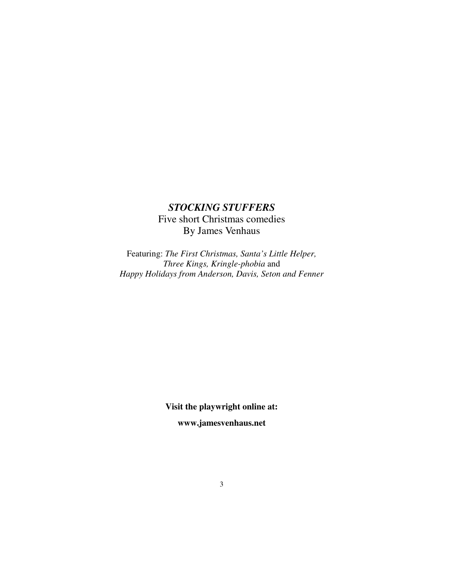# *STOCKING STUFFERS*  Five short Christmas comedies By James Venhaus

Featuring: *The First Christmas, Santa's Little Helper, Three Kings, Kringle-phobia* and *Happy Holidays from Anderson, Davis, Seton and Fenner*

> **Visit the playwright online at: www.jamesvenhaus.net**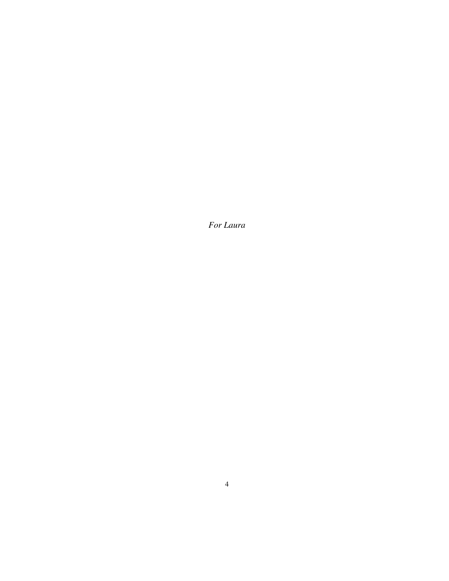*For Laura*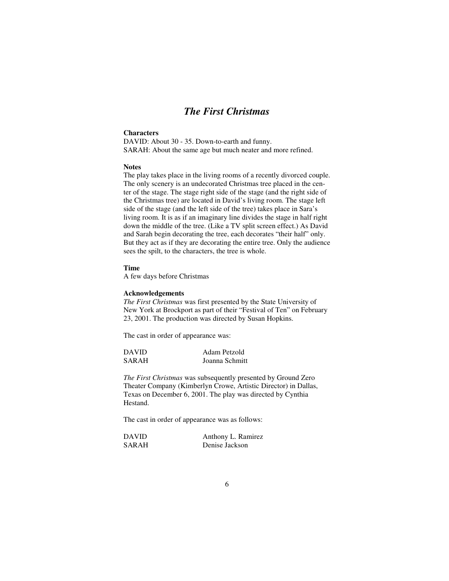## *The First Christmas*

### **Characters**

DAVID: About 30 - 35. Down-to-earth and funny. SARAH: About the same age but much neater and more refined.

#### **Notes**

The play takes place in the living rooms of a recently divorced couple. The only scenery is an undecorated Christmas tree placed in the center of the stage. The stage right side of the stage (and the right side of the Christmas tree) are located in David's living room. The stage left side of the stage (and the left side of the tree) takes place in Sara's living room. It is as if an imaginary line divides the stage in half right down the middle of the tree. (Like a TV split screen effect.) As David and Sarah begin decorating the tree, each decorates "their half" only. But they act as if they are decorating the entire tree. Only the audience sees the spilt, to the characters, the tree is whole.

#### **Time**

A few days before Christmas

#### **Acknowledgements**

*The First Christmas* was first presented by the State University of New York at Brockport as part of their "Festival of Ten" on February 23, 2001. The production was directed by Susan Hopkins.

The cast in order of appearance was:

| <b>DAVID</b> | Adam Petzold   |
|--------------|----------------|
| SARAH        | Joanna Schmitt |

*The First Christmas* was subsequently presented by Ground Zero Theater Company (Kimberlyn Crowe, Artistic Director) in Dallas, Texas on December 6, 2001. The play was directed by Cynthia Hestand.

| <b>DAVID</b> | Anthony L. Ramirez |
|--------------|--------------------|
| SARAH        | Denise Jackson     |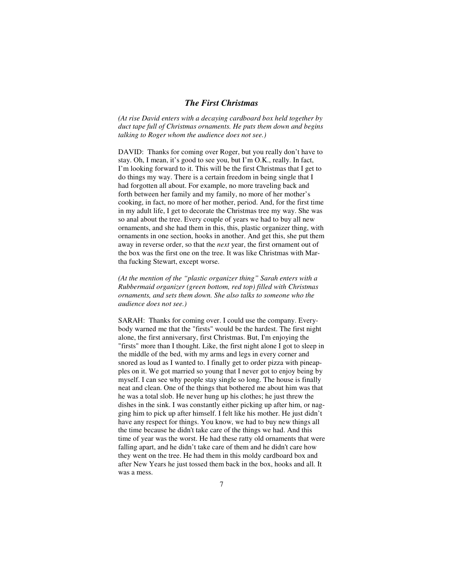### *The First Christmas*

*(At rise David enters with a decaying cardboard box held together by duct tape full of Christmas ornaments. He puts them down and begins talking to Roger whom the audience does not see.)* 

DAVID: Thanks for coming over Roger, but you really don't have to stay. Oh, I mean, it's good to see you, but I'm O.K., really. In fact, I'm looking forward to it. This will be the first Christmas that I get to do things my way. There is a certain freedom in being single that I had forgotten all about. For example, no more traveling back and forth between her family and my family, no more of her mother's cooking, in fact, no more of her mother, period. And, for the first time in my adult life, I get to decorate the Christmas tree my way. She was so anal about the tree. Every couple of years we had to buy all new ornaments, and she had them in this, this, plastic organizer thing, with ornaments in one section, hooks in another. And get this, she put them away in reverse order, so that the *next* year, the first ornament out of the box was the first one on the tree. It was like Christmas with Martha fucking Stewart, except worse.

*(At the mention of the "plastic organizer thing" Sarah enters with a Rubbermaid organizer (green bottom, red top) filled with Christmas ornaments, and sets them down. She also talks to someone who the audience does not see.)* 

SARAH: Thanks for coming over. I could use the company. Everybody warned me that the "firsts" would be the hardest. The first night alone, the first anniversary, first Christmas. But, I'm enjoying the "firsts" more than I thought. Like, the first night alone I got to sleep in the middle of the bed, with my arms and legs in every corner and snored as loud as I wanted to. I finally get to order pizza with pineapples on it. We got married so young that I never got to enjoy being by myself. I can see why people stay single so long. The house is finally neat and clean. One of the things that bothered me about him was that he was a total slob. He never hung up his clothes; he just threw the dishes in the sink. I was constantly either picking up after him, or nagging him to pick up after himself. I felt like his mother. He just didn't have any respect for things. You know, we had to buy new things all the time because he didn't take care of the things we had. And this time of year was the worst. He had these ratty old ornaments that were falling apart, and he didn't take care of them and he didn't care how they went on the tree. He had them in this moldy cardboard box and after New Years he just tossed them back in the box, hooks and all. It was a mess.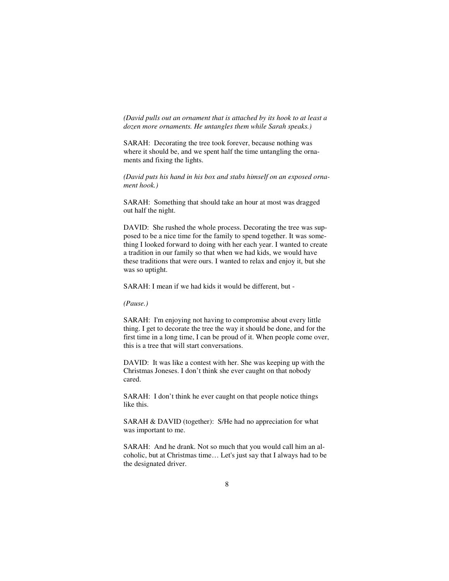*(David pulls out an ornament that is attached by its hook to at least a dozen more ornaments. He untangles them while Sarah speaks.)* 

SARAH: Decorating the tree took forever, because nothing was where it should be, and we spent half the time untangling the ornaments and fixing the lights.

*(David puts his hand in his box and stabs himself on an exposed ornament hook.)* 

SARAH: Something that should take an hour at most was dragged out half the night.

DAVID: She rushed the whole process. Decorating the tree was supposed to be a nice time for the family to spend together. It was something I looked forward to doing with her each year. I wanted to create a tradition in our family so that when we had kids, we would have these traditions that were ours. I wanted to relax and enjoy it, but she was so uptight.

SARAH: I mean if we had kids it would be different, but -

*(Pause.)* 

SARAH: I'm enjoying not having to compromise about every little thing. I get to decorate the tree the way it should be done, and for the first time in a long time, I can be proud of it. When people come over, this is a tree that will start conversations.

DAVID: It was like a contest with her. She was keeping up with the Christmas Joneses. I don't think she ever caught on that nobody cared.

SARAH: I don't think he ever caught on that people notice things like this.

SARAH & DAVID (together): S/He had no appreciation for what was important to me.

SARAH: And he drank. Not so much that you would call him an alcoholic, but at Christmas time… Let's just say that I always had to be the designated driver.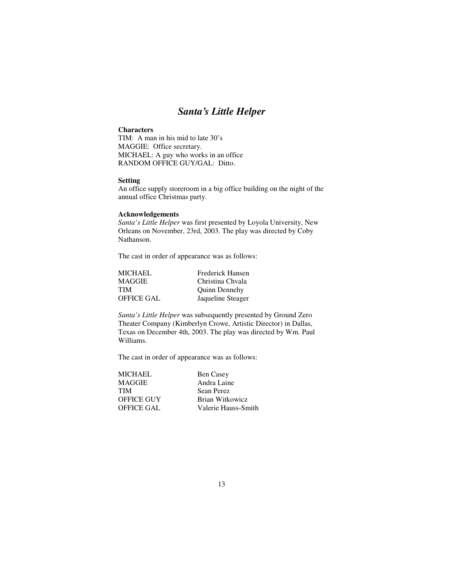## *Santa's Little Helper*

### **Characters**

TIM: A man in his mid to late 30's MAGGIE: Office secretary. MICHAEL: A guy who works in an office RANDOM OFFICE GUY/GAL: Ditto.

### **Setting**

An office supply storeroom in a big office building on the night of the annual office Christmas party.

### **Acknowledgements**

*Santa's Little Helper* was first presented by Loyola University, New Orleans on November, 23rd, 2003. The play was directed by Coby Nathanson.

The cast in order of appearance was as follows:

| <b>MICHAEL</b>    | Frederick Hansen  |
|-------------------|-------------------|
| <b>MAGGIE</b>     | Christina Chyala  |
| <b>TIM</b>        | Quinn Dennehy     |
| <b>OFFICE GAL</b> | Jaqueline Steager |

*Santa's Little Helper* was subsequently presented by Ground Zero Theater Company (Kimberlyn Crowe, Artistic Director) in Dallas, Texas on December 4th, 2003. The play was directed by Wm. Paul Williams.

| MICHAEL    | <b>Ben Casey</b>    |
|------------|---------------------|
| MAGGIE     | Andra Laine         |
| TIM        | Sean Perez          |
| OFFICE GUY | Brian Witkowicz     |
| OFFICE GAL | Valerie Hauss-Smith |
|            |                     |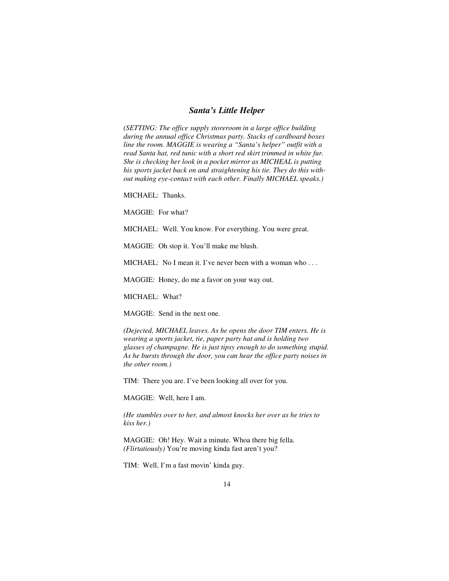### *Santa's Little Helper*

*(SETTING: The office supply storeroom in a large office building during the annual office Christmas party. Stacks of cardboard boxes line the room. MAGGIE is wearing a "Santa's helper" outfit with a read Santa hat, red tunic with a short red skirt trimmed in white fur. She is checking her look in a pocket mirror as MICHEAL is putting his sports jacket back on and straightening his tie. They do this without making eye-contact with each other. Finally MICHAEL speaks.)* 

MICHAEL: Thanks.

MAGGIE: For what?

MICHAEL: Well. You know. For everything. You were great.

MAGGIE: Oh stop it. You'll make me blush.

MICHAEL: No I mean it. I've never been with a woman who . . .

MAGGIE: Honey, do me a favor on your way out.

MICHAEL: What?

MAGGIE: Send in the next one.

*(Dejected, MICHAEL leaves. As he opens the door TIM enters. He is wearing a sports jacket, tie, paper party hat and is holding two glasses of champagne. He is just tipsy enough to do something stupid. As he bursts through the door, you can hear the office party noises in the other room.)* 

TIM: There you are. I've been looking all over for you.

MAGGIE: Well, here I am.

*(He stumbles over to her, and almost knocks her over as he tries to kiss her.)* 

MAGGIE: Oh! Hey. Wait a minute. Whoa there big fella. *(Flirtatiously)* You're moving kinda fast aren't you?

TIM: Well, I'm a fast movin' kinda guy.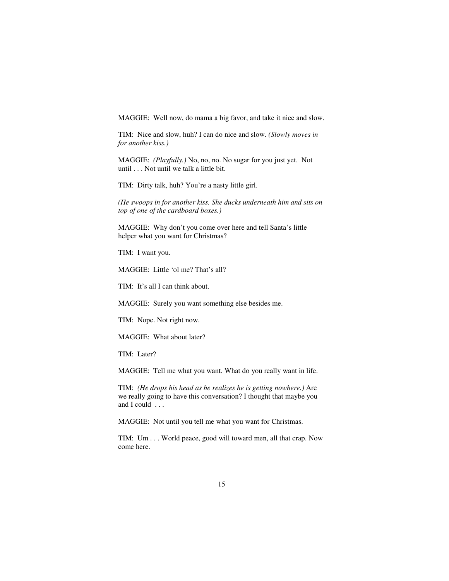MAGGIE: Well now, do mama a big favor, and take it nice and slow.

TIM: Nice and slow, huh? I can do nice and slow. *(Slowly moves in for another kiss.)*

MAGGIE: *(Playfully.)* No, no, no. No sugar for you just yet. Not until . . . Not until we talk a little bit.

TIM: Dirty talk, huh? You're a nasty little girl.

*(He swoops in for another kiss. She ducks underneath him and sits on top of one of the cardboard boxes.)* 

MAGGIE: Why don't you come over here and tell Santa's little helper what you want for Christmas?

TIM: I want you.

MAGGIE: Little 'ol me? That's all?

TIM: It's all I can think about.

MAGGIE: Surely you want something else besides me.

TIM: Nope. Not right now.

MAGGIE: What about later?

TIM: Later?

MAGGIE: Tell me what you want. What do you really want in life.

TIM: *(He drops his head as he realizes he is getting nowhere.)* Are we really going to have this conversation? I thought that maybe you and I could . . .

MAGGIE: Not until you tell me what you want for Christmas.

TIM: Um . . . World peace, good will toward men, all that crap. Now come here.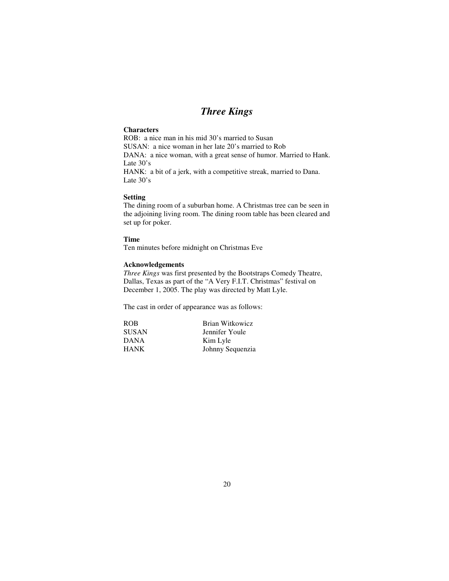# *Three Kings*

### **Characters**

ROB: a nice man in his mid 30's married to Susan SUSAN: a nice woman in her late 20's married to Rob DANA: a nice woman, with a great sense of humor. Married to Hank. Late 30's HANK: a bit of a jerk, with a competitive streak, married to Dana. Late 30's

### **Setting**

The dining room of a suburban home. A Christmas tree can be seen in the adjoining living room. The dining room table has been cleared and set up for poker.

#### **Time**

Ten minutes before midnight on Christmas Eve

#### **Acknowledgements**

*Three Kings* was first presented by the Bootstraps Comedy Theatre, Dallas, Texas as part of the "A Very F.I.T. Christmas" festival on December 1, 2005. The play was directed by Matt Lyle.

| <b>ROB</b>   | Brian Witkowicz  |
|--------------|------------------|
| <b>SUSAN</b> | Jennifer Youle   |
| <b>DANA</b>  | Kim Lyle         |
| <b>HANK</b>  | Johnny Sequenzia |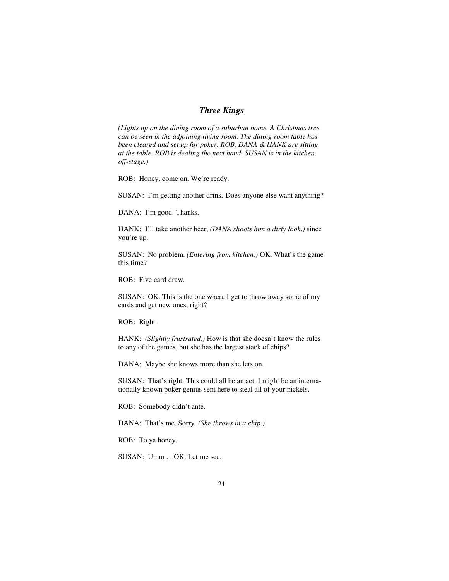### *Three Kings*

*(Lights up on the dining room of a suburban home. A Christmas tree can be seen in the adjoining living room. The dining room table has been cleared and set up for poker. ROB, DANA & HANK are sitting at the table. ROB is dealing the next hand. SUSAN is in the kitchen, off-stage.)* 

ROB: Honey, come on. We're ready.

SUSAN: I'm getting another drink. Does anyone else want anything?

DANA: I'm good. Thanks.

HANK: I'll take another beer, *(DANA shoots him a dirty look.)* since you're up.

SUSAN: No problem. *(Entering from kitchen.)* OK. What's the game this time?

ROB: Five card draw.

SUSAN: OK. This is the one where I get to throw away some of my cards and get new ones, right?

ROB: Right.

HANK: *(Slightly frustrated.)* How is that she doesn't know the rules to any of the games, but she has the largest stack of chips?

DANA: Maybe she knows more than she lets on.

SUSAN: That's right. This could all be an act. I might be an internationally known poker genius sent here to steal all of your nickels.

ROB: Somebody didn't ante.

DANA: That's me. Sorry. *(She throws in a chip.)*

ROB: To ya honey.

SUSAN: Umm . . OK. Let me see.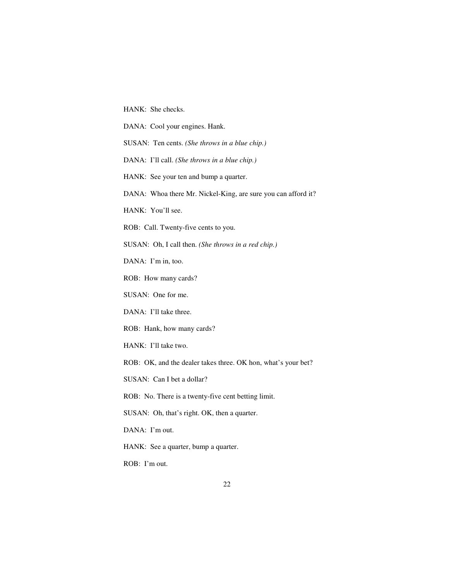HANK: She checks.

DANA: Cool your engines. Hank.

SUSAN: Ten cents. *(She throws in a blue chip.)* 

DANA: I'll call. *(She throws in a blue chip.)* 

HANK: See your ten and bump a quarter.

DANA: Whoa there Mr. Nickel-King, are sure you can afford it?

HANK: You'll see.

ROB: Call. Twenty-five cents to you.

SUSAN: Oh, I call then. *(She throws in a red chip.)*

DANA: I'm in, too.

ROB: How many cards?

SUSAN: One for me.

DANA: I'll take three.

ROB: Hank, how many cards?

HANK: I'll take two.

ROB: OK, and the dealer takes three. OK hon, what's your bet?

SUSAN: Can I bet a dollar?

ROB: No. There is a twenty-five cent betting limit.

SUSAN: Oh, that's right. OK, then a quarter.

DANA: I'm out.

HANK: See a quarter, bump a quarter.

ROB: I'm out.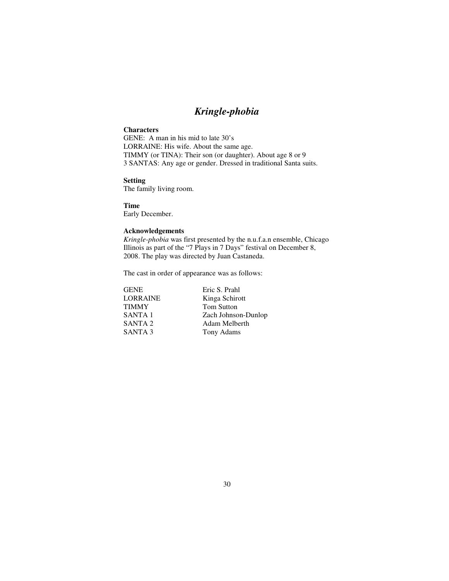## *Kringle-phobia*

### **Characters**

GENE: A man in his mid to late 30's LORRAINE: His wife. About the same age. TIMMY (or TINA): Their son (or daughter). About age 8 or 9 3 SANTAS: Any age or gender. Dressed in traditional Santa suits.

### **Setting**

The family living room.

**Time**  Early December.

### **Acknowledgements**

*Kringle-phobia* was first presented by the n.u.f.a.n ensemble, Chicago Illinois as part of the "7 Plays in 7 Days" festival on December 8, 2008. The play was directed by Juan Castaneda.

| <b>GENE</b>        | Eric S. Prahl       |
|--------------------|---------------------|
| <b>LORRAINE</b>    | Kinga Schirott      |
| <b>TIMMY</b>       | <b>Tom Sutton</b>   |
| SANTA <sub>1</sub> | Zach Johnson-Dunlop |
| SANTA <sub>2</sub> | Adam Melberth       |
| SANTA <sub>3</sub> | Tony Adams          |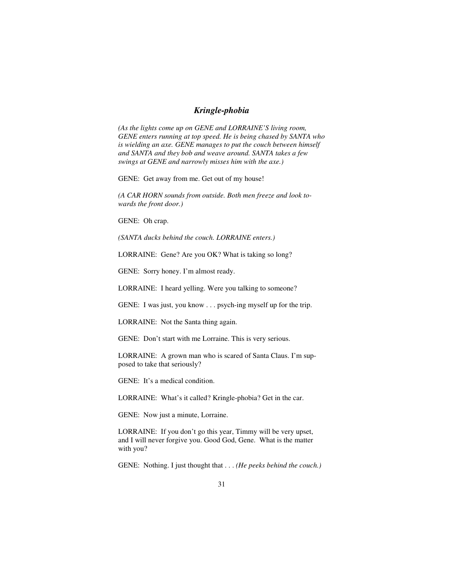### *Kringle-phobia*

*(As the lights come up on GENE and LORRAINE'S living room, GENE enters running at top speed. He is being chased by SANTA who is wielding an axe. GENE manages to put the couch between himself and SANTA and they bob and weave around. SANTA takes a few swings at GENE and narrowly misses him with the axe.)* 

GENE: Get away from me. Get out of my house!

*(A CAR HORN sounds from outside. Both men freeze and look towards the front door.)* 

GENE: Oh crap.

*(SANTA ducks behind the couch. LORRAINE enters.)* 

LORRAINE: Gene? Are you OK? What is taking so long?

GENE: Sorry honey. I'm almost ready.

LORRAINE: I heard yelling. Were you talking to someone?

GENE: I was just, you know . . . psych-ing myself up for the trip.

LORRAINE: Not the Santa thing again.

GENE: Don't start with me Lorraine. This is very serious.

LORRAINE: A grown man who is scared of Santa Claus. I'm supposed to take that seriously?

GENE: It's a medical condition.

LORRAINE: What's it called? Kringle-phobia? Get in the car.

GENE: Now just a minute, Lorraine.

LORRAINE: If you don't go this year, Timmy will be very upset, and I will never forgive you. Good God, Gene. What is the matter with you?

GENE: Nothing. I just thought that . . . *(He peeks behind the couch.)*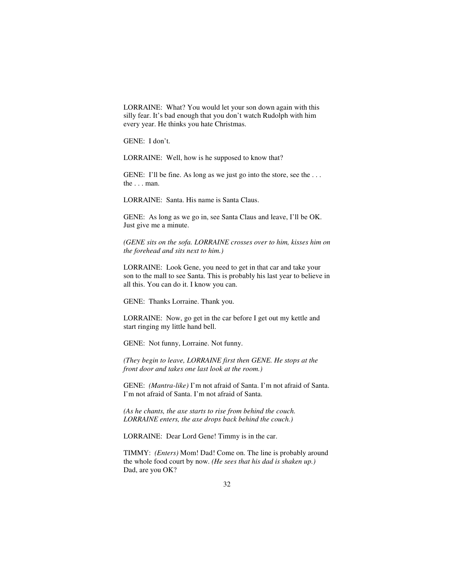LORRAINE: What? You would let your son down again with this silly fear. It's bad enough that you don't watch Rudolph with him every year. He thinks you hate Christmas.

GENE: I don't.

LORRAINE: Well, how is he supposed to know that?

GENE: I'll be fine. As long as we just go into the store, see the ... the . . . man.

LORRAINE: Santa. His name is Santa Claus.

GENE: As long as we go in, see Santa Claus and leave, I'll be OK. Just give me a minute.

*(GENE sits on the sofa. LORRAINE crosses over to him, kisses him on the forehead and sits next to him.)* 

LORRAINE: Look Gene, you need to get in that car and take your son to the mall to see Santa. This is probably his last year to believe in all this. You can do it. I know you can.

GENE: Thanks Lorraine. Thank you.

LORRAINE: Now, go get in the car before I get out my kettle and start ringing my little hand bell.

GENE: Not funny, Lorraine. Not funny.

*(They begin to leave, LORRAINE first then GENE. He stops at the front door and takes one last look at the room.)* 

GENE: *(Mantra-like)* I'm not afraid of Santa. I'm not afraid of Santa. I'm not afraid of Santa. I'm not afraid of Santa.

*(As he chants, the axe starts to rise from behind the couch. LORRAINE enters, the axe drops back behind the couch.)* 

LORRAINE: Dear Lord Gene! Timmy is in the car.

TIMMY: *(Enters)* Mom! Dad! Come on. The line is probably around the whole food court by now. *(He sees that his dad is shaken up.)* Dad, are you OK?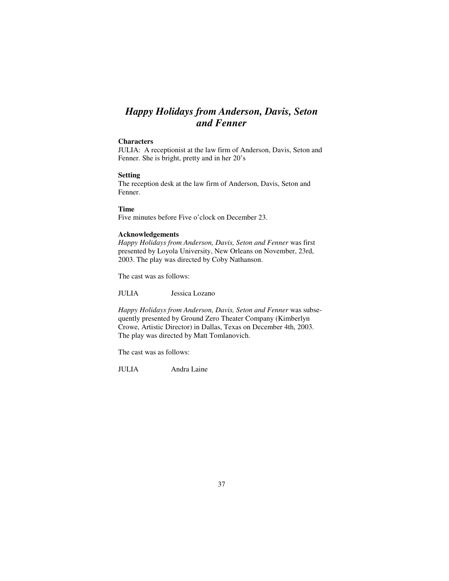## *Happy Holidays from Anderson, Davis, Seton and Fenner*

### **Characters**

JULIA: A receptionist at the law firm of Anderson, Davis, Seton and Fenner. She is bright, pretty and in her 20's

#### **Setting**

The reception desk at the law firm of Anderson, Davis, Seton and Fenner.

### **Time**

Five minutes before Five o'clock on December 23.

### **Acknowledgements**

*Happy Holidays from Anderson, Davis, Seton and Fenner* was first presented by Loyola University, New Orleans on November, 23rd, 2003. The play was directed by Coby Nathanson.

The cast was as follows:

JULIA Jessica Lozano

*Happy Holidays from Anderson, Davis, Seton and Fenner* was subsequently presented by Ground Zero Theater Company (Kimberlyn Crowe, Artistic Director) in Dallas, Texas on December 4th, 2003. The play was directed by Matt Tomlanovich.

The cast was as follows:

JULIA Andra Laine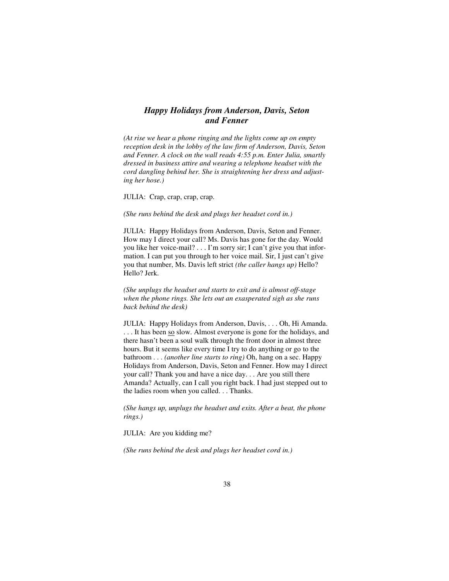### *Happy Holidays from Anderson, Davis, Seton and Fenner*

*(At rise we hear a phone ringing and the lights come up on empty reception desk in the lobby of the law firm of Anderson, Davis, Seton and Fenner. A clock on the wall reads 4:55 p.m. Enter Julia, smartly dressed in business attire and wearing a telephone headset with the cord dangling behind her. She is straightening her dress and adjusting her hose.)* 

JULIA: Crap, crap, crap, crap.

*(She runs behind the desk and plugs her headset cord in.)* 

JULIA: Happy Holidays from Anderson, Davis, Seton and Fenner. How may I direct your call? Ms. Davis has gone for the day. Would you like her voice-mail? . . . I'm sorry sir; I can't give you that information. I can put you through to her voice mail. Sir, I just can't give you that number, Ms. Davis left strict *(the caller hangs up)* Hello? Hello? Jerk.

*(She unplugs the headset and starts to exit and is almost off-stage when the phone rings. She lets out an exasperated sigh as she runs back behind the desk)* 

JULIA: Happy Holidays from Anderson, Davis, . . . Oh, Hi Amanda. . . . It has been so slow. Almost everyone is gone for the holidays, and there hasn't been a soul walk through the front door in almost three hours. But it seems like every time I try to do anything or go to the bathroom . . . *(another line starts to ring)* Oh, hang on a sec. Happy Holidays from Anderson, Davis, Seton and Fenner. How may I direct your call? Thank you and have a nice day. . . Are you still there Amanda? Actually, can I call you right back. I had just stepped out to the ladies room when you called. . . Thanks.

*(She hangs up, unplugs the headset and exits. After a beat, the phone rings.)* 

JULIA: Are you kidding me?

*(She runs behind the desk and plugs her headset cord in.)*